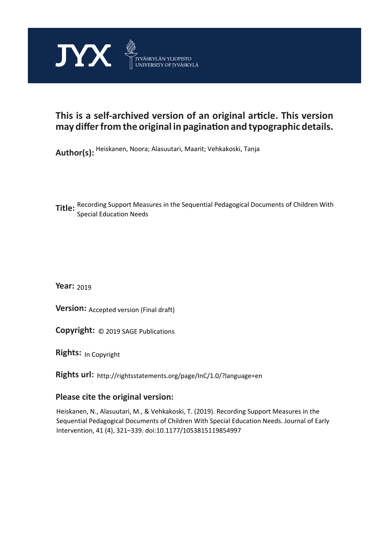

## **This is a self-archived version of an original article. This version may differ from the original in pagination and typographic details.**

**Author(s):**  Heiskanen, Noora; Alasuutari, Maarit; Vehkakoski, Tanja

**Title:**  Recording Support Measures in the Sequential Pedagogical Documents of Children With Special Education Needs

**Year:**  2019

**Version: Accepted version (Final draft)** 

**Version:** Accepted version (Final draft)<br>**Copyright:** © 2019 SAGE Publications

**Rights:** In Copyright

**Rights url:**  http://rightsstatements.org/page/InC/1.0/?language=en

## **Please cite the original version:**

Heiskanen, N., Alasuutari, M., & Vehkakoski, T. (2019). Recording Support Measures in the Sequential Pedagogical Documents of Children With Special Education Needs. Journal of Early Intervention, 41 (4), 321–339. doi:10.1177/1053815119854997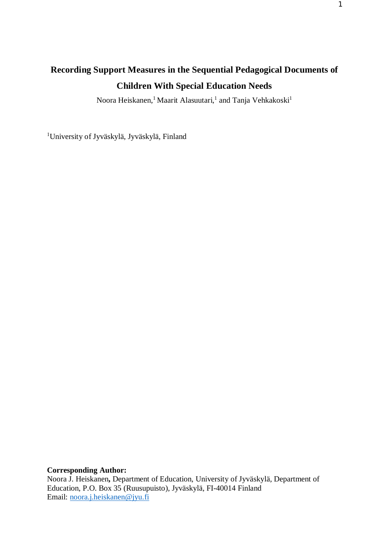# **Recording Support Measures in the Sequential Pedagogical Documents of Children With Special Education Needs**

Noora Heiskanen,<sup>1</sup> Maarit Alasuutari,<sup>1</sup> and Tanja Vehkakoski<sup>1</sup>

<sup>1</sup>University of Jyväskylä, Jyväskylä, Finland

**Corresponding Author:**

Noora J. Heiskanen**,** Department of Education, University of Jyväskylä, Department of Education, P.O. Box 35 (Ruusupuisto), Jyväskylä, FI-40014 Finland Email: [noora.j.heiskanen@jyu.fi](mailto:noora.j.heiskanen@jyu.fi)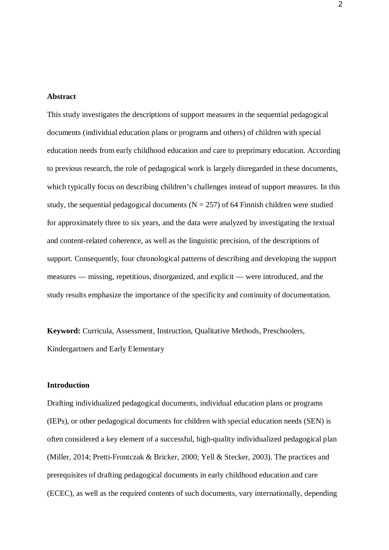#### **Abstract**

This study investigates the descriptions of support measures in the sequential pedagogical documents (individual education plans or programs and others) of children with special education needs from early childhood education and care to preprimary education. According to previous research, the role of pedagogical work is largely disregarded in these documents, which typically focus on describing children's challenges instead of support measures. In this study, the sequential pedagogical documents ( $N = 257$ ) of 64 Finnish children were studied for approximately three to six years, and the data were analyzed by investigating the textual and content-related coherence, as well as the linguistic precision, of the descriptions of support. Consequently, four chronological patterns of describing and developing the support measures — missing, repetitious, disorganized, and explicit — were introduced, and the study results emphasize the importance of the specificity and continuity of documentation.

**Keyword:** Curricula, Assessment, Instruction, Qualitative Methods, Preschoolers, Kindergartners and Early Elementary

## **Introduction**

Drafting individualized pedagogical documents, individual education plans or programs (IEPs), or other pedagogical documents for children with special education needs (SEN) is often considered a key element of a successful, high-quality individualized pedagogical plan (Miller, 2014; Pretti-Frontczak & Bricker, 2000; Yell & Stecker, 2003). The practices and prerequisites of drafting pedagogical documents in early childhood education and care (ECEC), as well as the required contents of such documents, vary internationally, depending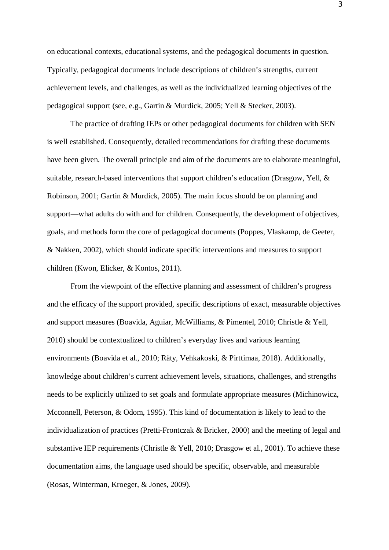on educational contexts, educational systems, and the pedagogical documents in question. Typically, pedagogical documents include descriptions of children's strengths, current achievement levels, and challenges, as well as the individualized learning objectives of the pedagogical support (see, e.g., Gartin & Murdick, 2005; Yell & Stecker, 2003).

The practice of drafting IEPs or other pedagogical documents for children with SEN is well established. Consequently, detailed recommendations for drafting these documents have been given. The overall principle and aim of the documents are to elaborate meaningful, suitable, research-based interventions that support children's education (Drasgow, Yell, & Robinson, 2001; Gartin & Murdick, 2005). The main focus should be on planning and support—what adults do with and for children. Consequently, the development of objectives, goals, and methods form the core of pedagogical documents (Poppes, Vlaskamp, de Geeter, & Nakken, 2002), which should indicate specific interventions and measures to support children (Kwon, Elicker, & Kontos, 2011).

From the viewpoint of the effective planning and assessment of children's progress and the efficacy of the support provided, specific descriptions of exact, measurable objectives and support measures (Boavida, Aguiar, McWilliams, & Pimentel, 2010; Christle & Yell, 2010) should be contextualized to children's everyday lives and various learning environments (Boavida et al., 2010; Räty, Vehkakoski, & Pirttimaa, 2018). Additionally, knowledge about children's current achievement levels, situations, challenges, and strengths needs to be explicitly utilized to set goals and formulate appropriate measures (Michinowicz, Mcconnell, Peterson, & Odom, 1995). This kind of documentation is likely to lead to the individualization of practices (Pretti-Frontczak & Bricker, 2000) and the meeting of legal and substantive IEP requirements (Christle & Yell, 2010; Drasgow et al., 2001). To achieve these documentation aims, the language used should be specific, observable, and measurable (Rosas, Winterman, Kroeger, & Jones, 2009).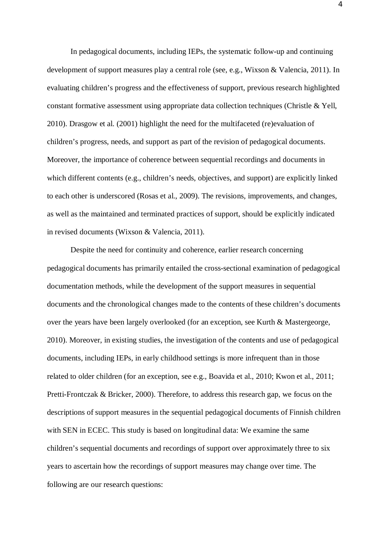In pedagogical documents, including IEPs, the systematic follow-up and continuing development of support measures play a central role (see, e.g., Wixson & Valencia, 2011). In evaluating children's progress and the effectiveness of support, previous research highlighted constant formative assessment using appropriate data collection techniques (Christle & Yell, 2010). Drasgow et al. (2001) highlight the need for the multifaceted (re)evaluation of children's progress, needs, and support as part of the revision of pedagogical documents. Moreover, the importance of coherence between sequential recordings and documents in which different contents (e.g., children's needs, objectives, and support) are explicitly linked to each other is underscored (Rosas et al., 2009). The revisions, improvements, and changes, as well as the maintained and terminated practices of support, should be explicitly indicated in revised documents (Wixson & Valencia, 2011).

Despite the need for continuity and coherence, earlier research concerning pedagogical documents has primarily entailed the cross-sectional examination of pedagogical documentation methods, while the development of the support measures in sequential documents and the chronological changes made to the contents of these children's documents over the years have been largely overlooked (for an exception, see Kurth & Mastergeorge, 2010). Moreover, in existing studies, the investigation of the contents and use of pedagogical documents, including IEPs, in early childhood settings is more infrequent than in those related to older children (for an exception, see e.g., Boavida et al., 2010; Kwon et al., 2011; Pretti-Frontczak & Bricker, 2000). Therefore, to address this research gap, we focus on the descriptions of support measures in the sequential pedagogical documents of Finnish children with SEN in ECEC. This study is based on longitudinal data: We examine the same children's sequential documents and recordings of support over approximately three to six years to ascertain how the recordings of support measures may change over time. The following are our research questions: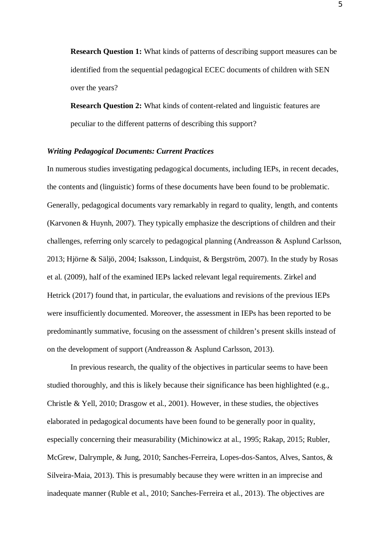**Research Question 1:** What kinds of patterns of describing support measures can be identified from the sequential pedagogical ECEC documents of children with SEN over the years?

**Research Question 2:** What kinds of content-related and linguistic features are peculiar to the different patterns of describing this support?

## *Writing Pedagogical Documents: Current Practices*

In numerous studies investigating pedagogical documents, including IEPs, in recent decades, the contents and (linguistic) forms of these documents have been found to be problematic. Generally, pedagogical documents vary remarkably in regard to quality, length, and contents (Karvonen & Huynh, 2007). They typically emphasize the descriptions of children and their challenges, referring only scarcely to pedagogical planning (Andreasson & Asplund Carlsson, 2013; Hjörne & Säljö, 2004; Isaksson, Lindquist, & Bergström, 2007). In the study by Rosas et al. (2009), half of the examined IEPs lacked relevant legal requirements. Zirkel and Hetrick (2017) found that, in particular, the evaluations and revisions of the previous IEPs were insufficiently documented. Moreover, the assessment in IEPs has been reported to be predominantly summative, focusing on the assessment of children's present skills instead of on the development of support (Andreasson & Asplund Carlsson, 2013).

In previous research, the quality of the objectives in particular seems to have been studied thoroughly, and this is likely because their significance has been highlighted (e.g., Christle & Yell, 2010; Drasgow et al., 2001). However, in these studies, the objectives elaborated in pedagogical documents have been found to be generally poor in quality, especially concerning their measurability (Michinowicz at al., 1995; Rakap, 2015; Rubler, McGrew, Dalrymple, & Jung, 2010; Sanches-Ferreira, Lopes-dos-Santos, Alves, Santos, & Silveira-Maia, 2013). This is presumably because they were written in an imprecise and inadequate manner (Ruble et al., 2010; Sanches-Ferreira et al., 2013). The objectives are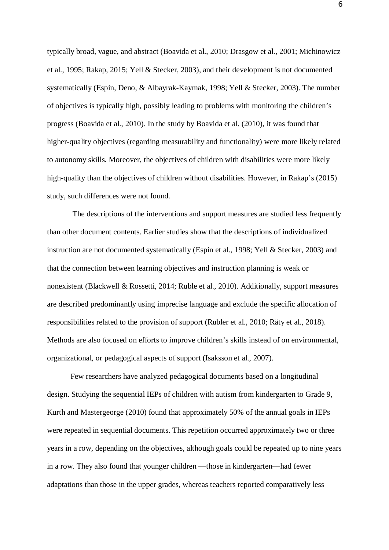typically broad, vague, and abstract (Boavida et al., 2010; Drasgow et al., 2001; Michinowicz et al., 1995; Rakap, 2015; Yell & Stecker, 2003), and their development is not documented systematically (Espin, Deno, & Albayrak-Kaymak, 1998; Yell & Stecker, 2003). The number of objectives is typically high, possibly leading to problems with monitoring the children's progress (Boavida et al., 2010). In the study by Boavida et al. (2010), it was found that higher-quality objectives (regarding measurability and functionality) were more likely related to autonomy skills. Moreover, the objectives of children with disabilities were more likely high-quality than the objectives of children without disabilities. However, in Rakap's (2015) study, such differences were not found.

 The descriptions of the interventions and support measures are studied less frequently than other document contents. Earlier studies show that the descriptions of individualized instruction are not documented systematically (Espin et al., 1998; Yell & Stecker, 2003) and that the connection between learning objectives and instruction planning is weak or nonexistent (Blackwell & Rossetti, 2014; Ruble et al., 2010). Additionally, support measures are described predominantly using imprecise language and exclude the specific allocation of responsibilities related to the provision of support (Rubler et al., 2010; Räty et al., 2018). Methods are also focused on efforts to improve children's skills instead of on environmental, organizational, or pedagogical aspects of support (Isaksson et al., 2007).

Few researchers have analyzed pedagogical documents based on a longitudinal design. Studying the sequential IEPs of children with autism from kindergarten to Grade 9, Kurth and Mastergeorge (2010) found that approximately 50% of the annual goals in IEPs were repeated in sequential documents. This repetition occurred approximately two or three years in a row, depending on the objectives, although goals could be repeated up to nine years in a row. They also found that younger children —those in kindergarten—had fewer adaptations than those in the upper grades, whereas teachers reported comparatively less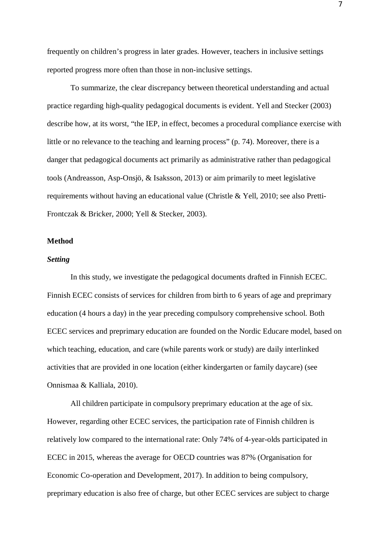frequently on children's progress in later grades. However, teachers in inclusive settings reported progress more often than those in non-inclusive settings.

To summarize, the clear discrepancy between theoretical understanding and actual practice regarding high-quality pedagogical documents is evident. Yell and Stecker (2003) describe how, at its worst, "the IEP, in effect, becomes a procedural compliance exercise with little or no relevance to the teaching and learning process" (p. 74). Moreover, there is a danger that pedagogical documents act primarily as administrative rather than pedagogical tools (Andreasson, Asp-Onsjö, & Isaksson, 2013) or aim primarily to meet legislative requirements without having an educational value (Christle & Yell, 2010; see also Pretti-Frontczak & Bricker, 2000; Yell & Stecker, 2003).

#### **Method**

#### *Setting*

In this study, we investigate the pedagogical documents drafted in Finnish ECEC. Finnish ECEC consists of services for children from birth to 6 years of age and preprimary education (4 hours a day) in the year preceding compulsory comprehensive school. Both ECEC services and preprimary education are founded on the Nordic Educare model, based on which teaching, education, and care (while parents work or study) are daily interlinked activities that are provided in one location (either kindergarten or family daycare) (see Onnismaa & Kalliala, 2010).

All children participate in compulsory preprimary education at the age of six. However, regarding other ECEC services, the participation rate of Finnish children is relatively low compared to the international rate: Only 74% of 4-year-olds participated in ECEC in 2015, whereas the average for OECD countries was 87% (Organisation for Economic Co-operation and Development, 2017). In addition to being compulsory, preprimary education is also free of charge, but other ECEC services are subject to charge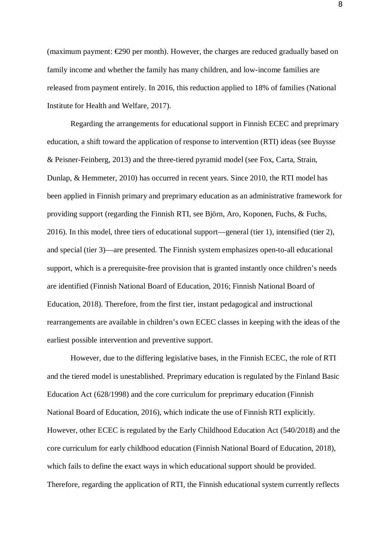(maximum payment:  $\epsilon$ 290 per month). However, the charges are reduced gradually based on family income and whether the family has many children, and low-income families are released from payment entirely. In 2016, this reduction applied to 18% of families (National Institute for Health and Welfare, 2017).

Regarding the arrangements for educational support in Finnish ECEC and preprimary education, a shift toward the application of response to intervention (RTI) ideas (see Buysse & Peisner-Feinberg, 2013) and the three-tiered pyramid model (see Fox, Carta, Strain, Dunlap, & Hemmeter, 2010) has occurred in recent years. Since 2010, the RTI model has been applied in Finnish primary and preprimary education as an administrative framework for providing support (regarding the Finnish RTI, see Björn, Aro, Koponen, Fuchs, & Fuchs, 2016). In this model, three tiers of educational support—general (tier 1), intensified (tier 2), and special (tier 3)—are presented. The Finnish system emphasizes open-to-all educational support, which is a prerequisite-free provision that is granted instantly once children's needs are identified (Finnish National Board of Education, 2016; Finnish National Board of Education, 2018). Therefore, from the first tier, instant pedagogical and instructional rearrangements are available in children's own ECEC classes in keeping with the ideas of the earliest possible intervention and preventive support.

However, due to the differing legislative bases, in the Finnish ECEC, the role of RTI and the tiered model is unestablished. Preprimary education is regulated by the Finland Basic Education Act (628/1998) and the core curriculum for preprimary education (Finnish National Board of Education, 2016), which indicate the use of Finnish RTI explicitly. However, other ECEC is regulated by the Early Childhood Education Act (540/2018) and the core curriculum for early childhood education (Finnish National Board of Education, 2018), which fails to define the exact ways in which educational support should be provided. Therefore, regarding the application of RTI, the Finnish educational system currently reflects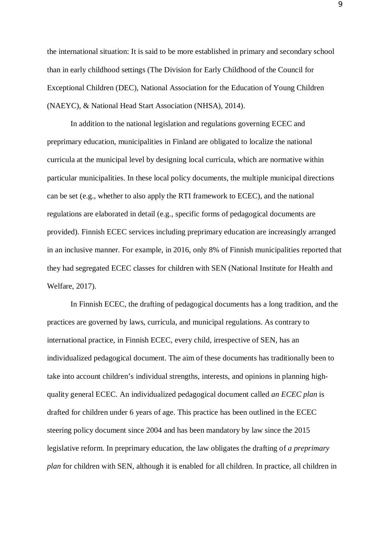the international situation: It is said to be more established in primary and secondary school than in early childhood settings (The Division for Early Childhood of the Council for Exceptional Children (DEC), National Association for the Education of Young Children (NAEYC), & National Head Start Association (NHSA), 2014).

In addition to the national legislation and regulations governing ECEC and preprimary education, municipalities in Finland are obligated to localize the national curricula at the municipal level by designing local curricula, which are normative within particular municipalities. In these local policy documents, the multiple municipal directions can be set (e.g., whether to also apply the RTI framework to ECEC), and the national regulations are elaborated in detail (e.g., specific forms of pedagogical documents are provided). Finnish ECEC services including preprimary education are increasingly arranged in an inclusive manner. For example, in 2016, only 8% of Finnish municipalities reported that they had segregated ECEC classes for children with SEN (National Institute for Health and Welfare, 2017).

In Finnish ECEC, the drafting of pedagogical documents has a long tradition, and the practices are governed by laws, curricula, and municipal regulations. As contrary to international practice, in Finnish ECEC, every child, irrespective of SEN, has an individualized pedagogical document. The aim of these documents has traditionally been to take into account children's individual strengths, interests, and opinions in planning highquality general ECEC. An individualized pedagogical document called *an ECEC plan* is drafted for children under 6 years of age. This practice has been outlined in the ECEC steering policy document since 2004 and has been mandatory by law since the 2015 legislative reform. In preprimary education, the law obligates the drafting of *a preprimary plan* for children with SEN, although it is enabled for all children. In practice, all children in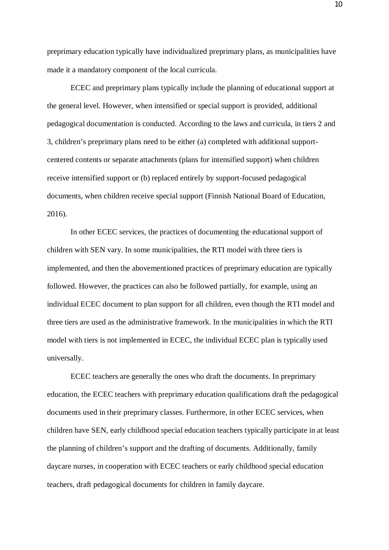preprimary education typically have individualized preprimary plans, as municipalities have made it a mandatory component of the local curricula.

ECEC and preprimary plans typically include the planning of educational support at the general level. However, when intensified or special support is provided, additional pedagogical documentation is conducted. According to the laws and curricula, in tiers 2 and 3, children's preprimary plans need to be either (a) completed with additional supportcentered contents or separate attachments (plans for intensified support) when children receive intensified support or (b) replaced entirely by support-focused pedagogical documents, when children receive special support (Finnish National Board of Education, 2016).

In other ECEC services, the practices of documenting the educational support of children with SEN vary. In some municipalities, the RTI model with three tiers is implemented, and then the abovementioned practices of preprimary education are typically followed. However, the practices can also be followed partially, for example, using an individual ECEC document to plan support for all children, even though the RTI model and three tiers are used as the administrative framework. In the municipalities in which the RTI model with tiers is not implemented in ECEC, the individual ECEC plan is typically used universally.

ECEC teachers are generally the ones who draft the documents. In preprimary education, the ECEC teachers with preprimary education qualifications draft the pedagogical documents used in their preprimary classes. Furthermore, in other ECEC services, when children have SEN, early childhood special education teachers typically participate in at least the planning of children's support and the drafting of documents. Additionally, family daycare nurses, in cooperation with ECEC teachers or early childhood special education teachers, draft pedagogical documents for children in family daycare.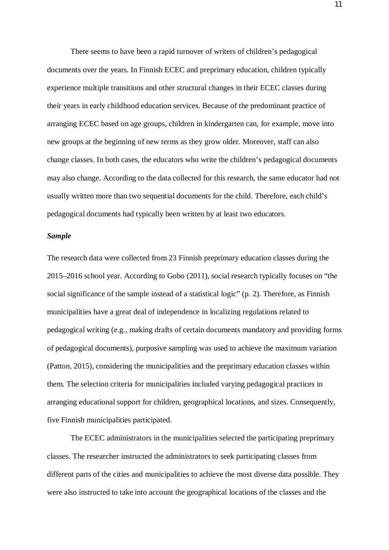There seems to have been a rapid turnover of writers of children's pedagogical documents over the years. In Finnish ECEC and preprimary education, children typically experience multiple transitions and other structural changes in their ECEC classes during their years in early childhood education services. Because of the predominant practice of arranging ECEC based on age groups, children in kindergarten can, for example, move into new groups at the beginning of new terms as they grow older. Moreover, staff can also change classes. In both cases, the educators who write the children's pedagogical documents may also change. According to the data collected for this research, the same educator had not usually written more than two sequential documents for the child. Therefore, each child's pedagogical documents had typically been written by at least two educators.

#### *Sample*

The research data were collected from 23 Finnish preprimary education classes during the 2015–2016 school year. According to Gobo (2011), social research typically focuses on "the social significance of the sample instead of a statistical logic" (p. 2). Therefore, as Finnish municipalities have a great deal of independence in localizing regulations related to pedagogical writing (e.g., making drafts of certain documents mandatory and providing forms of pedagogical documents), purposive sampling was used to achieve the maximum variation (Patton, 2015), considering the municipalities and the preprimary education classes within them. The selection criteria for municipalities included varying pedagogical practices in arranging educational support for children, geographical locations, and sizes. Consequently, five Finnish municipalities participated.

The ECEC administrators in the municipalities selected the participating preprimary classes. The researcher instructed the administrators to seek participating classes from different parts of the cities and municipalities to achieve the most diverse data possible. They were also instructed to take into account the geographical locations of the classes and the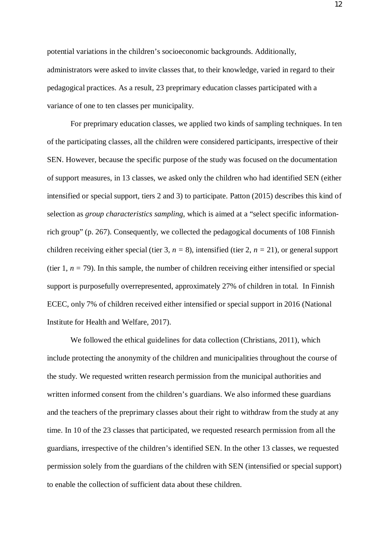potential variations in the children's socioeconomic backgrounds. Additionally, administrators were asked to invite classes that, to their knowledge, varied in regard to their pedagogical practices. As a result, 23 preprimary education classes participated with a variance of one to ten classes per municipality.

For preprimary education classes, we applied two kinds of sampling techniques. In ten of the participating classes, all the children were considered participants, irrespective of their SEN. However, because the specific purpose of the study was focused on the documentation of support measures, in 13 classes, we asked only the children who had identified SEN (either intensified or special support, tiers 2 and 3) to participate. Patton (2015) describes this kind of selection as *group characteristics sampling*, which is aimed at a "select specific informationrich group" (p. 267). Consequently, we collected the pedagogical documents of 108 Finnish children receiving either special (tier 3, *n =* 8), intensified (tier 2, *n =* 21), or general support (tier 1,  $n = 79$ ). In this sample, the number of children receiving either intensified or special support is purposefully overrepresented, approximately 27% of children in total. In Finnish ECEC, only 7% of children received either intensified or special support in 2016 (National Institute for Health and Welfare, 2017).

We followed the ethical guidelines for data collection (Christians, 2011), which include protecting the anonymity of the children and municipalities throughout the course of the study. We requested written research permission from the municipal authorities and written informed consent from the children's guardians. We also informed these guardians and the teachers of the preprimary classes about their right to withdraw from the study at any time. In 10 of the 23 classes that participated, we requested research permission from all the guardians, irrespective of the children's identified SEN. In the other 13 classes, we requested permission solely from the guardians of the children with SEN (intensified or special support) to enable the collection of sufficient data about these children.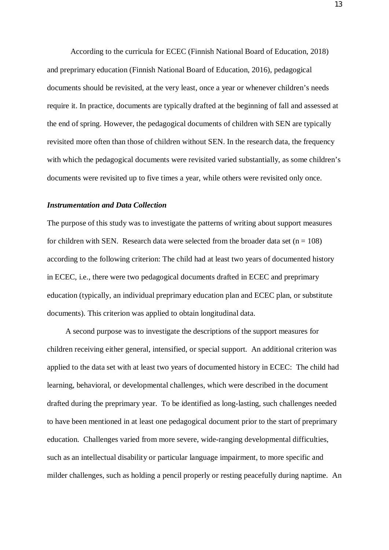According to the curricula for ECEC (Finnish National Board of Education, 2018) and preprimary education (Finnish National Board of Education, 2016), pedagogical documents should be revisited, at the very least, once a year or whenever children's needs require it. In practice, documents are typically drafted at the beginning of fall and assessed at the end of spring. However, the pedagogical documents of children with SEN are typically revisited more often than those of children without SEN. In the research data, the frequency with which the pedagogical documents were revisited varied substantially, as some children's documents were revisited up to five times a year, while others were revisited only once.

#### *Instrumentation and Data Collection*

The purpose of this study was to investigate the patterns of writing about support measures for children with SEN. Research data were selected from the broader data set  $(n = 108)$ according to the following criterion: The child had at least two years of documented history in ECEC, i.e., there were two pedagogical documents drafted in ECEC and preprimary education (typically, an individual preprimary education plan and ECEC plan, or substitute documents). This criterion was applied to obtain longitudinal data.

A second purpose was to investigate the descriptions of the support measures for children receiving either general, intensified, or special support. An additional criterion was applied to the data set with at least two years of documented history in ECEC: The child had learning, behavioral, or developmental challenges, which were described in the document drafted during the preprimary year. To be identified as long-lasting, such challenges needed to have been mentioned in at least one pedagogical document prior to the start of preprimary education. Challenges varied from more severe, wide-ranging developmental difficulties, such as an intellectual disability or particular language impairment, to more specific and milder challenges, such as holding a pencil properly or resting peacefully during naptime. An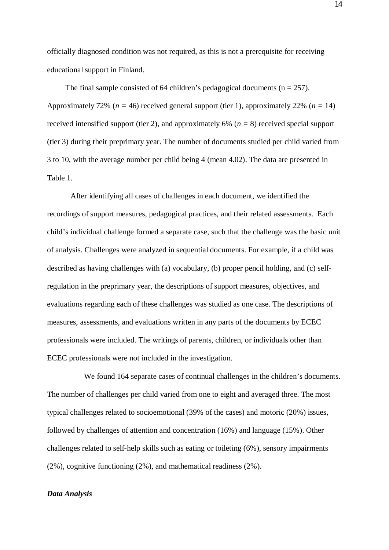officially diagnosed condition was not required, as this is not a prerequisite for receiving educational support in Finland.

The final sample consisted of 64 children's pedagogical documents ( $n = 257$ ). Approximately 72% (*n =* 46) received general support (tier 1), approximately 22% (*n =* 14) received intensified support (tier 2), and approximately 6% (*n =* 8) received special support (tier 3) during their preprimary year. The number of documents studied per child varied from 3 to 10, with the average number per child being 4 (mean 4.02). The data are presented in Table 1.

After identifying all cases of challenges in each document, we identified the recordings of support measures, pedagogical practices, and their related assessments. Each child's individual challenge formed a separate case, such that the challenge was the basic unit of analysis. Challenges were analyzed in sequential documents. For example, if a child was described as having challenges with (a) vocabulary, (b) proper pencil holding, and (c) selfregulation in the preprimary year, the descriptions of support measures, objectives, and evaluations regarding each of these challenges was studied as one case. The descriptions of measures, assessments, and evaluations written in any parts of the documents by ECEC professionals were included. The writings of parents, children, or individuals other than ECEC professionals were not included in the investigation.

We found 164 separate cases of continual challenges in the children's documents. The number of challenges per child varied from one to eight and averaged three. The most typical challenges related to socioemotional (39% of the cases) and motoric (20%) issues, followed by challenges of attention and concentration (16%) and language (15%). Other challenges related to self-help skills such as eating or toileting (6%), sensory impairments (2%), cognitive functioning (2%), and mathematical readiness (2%).

#### *Data Analysis*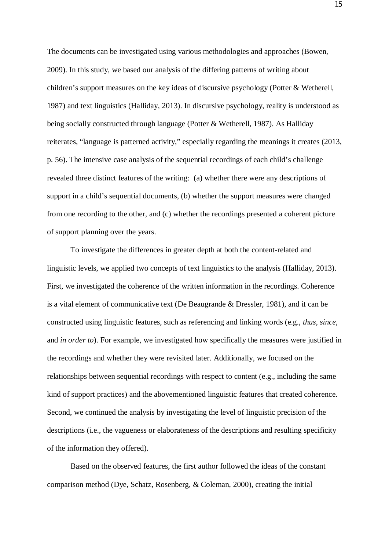The documents can be investigated using various methodologies and approaches (Bowen, 2009). In this study, we based our analysis of the differing patterns of writing about children's support measures on the key ideas of discursive psychology (Potter & Wetherell, 1987) and text linguistics (Halliday, 2013). In discursive psychology, reality is understood as being socially constructed through language (Potter & Wetherell, 1987). As Halliday reiterates, "language is patterned activity," especially regarding the meanings it creates (2013, p. 56). The intensive case analysis of the sequential recordings of each child's challenge revealed three distinct features of the writing: (a) whether there were any descriptions of support in a child's sequential documents, (b) whether the support measures were changed from one recording to the other, and (c) whether the recordings presented a coherent picture of support planning over the years.

To investigate the differences in greater depth at both the content-related and linguistic levels, we applied two concepts of text linguistics to the analysis (Halliday, 2013). First, we investigated the coherence of the written information in the recordings. Coherence is a vital element of communicative text (De Beaugrande & Dressler, 1981), and it can be constructed using linguistic features, such as referencing and linking words (e.g., *thus*, *since*, and *in order to*). For example, we investigated how specifically the measures were justified in the recordings and whether they were revisited later. Additionally, we focused on the relationships between sequential recordings with respect to content (e.g., including the same kind of support practices) and the abovementioned linguistic features that created coherence. Second, we continued the analysis by investigating the level of linguistic precision of the descriptions (i.e., the vagueness or elaborateness of the descriptions and resulting specificity of the information they offered).

Based on the observed features, the first author followed the ideas of the constant comparison method (Dye, Schatz, Rosenberg, & Coleman, 2000), creating the initial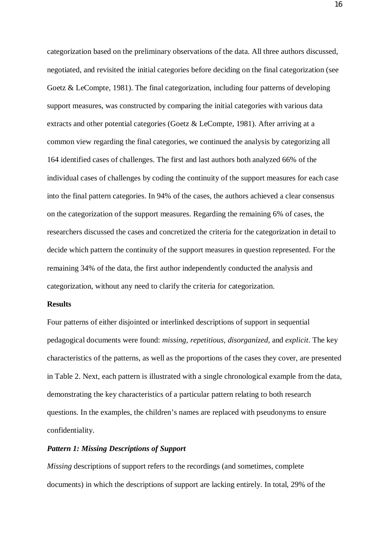categorization based on the preliminary observations of the data. All three authors discussed, negotiated, and revisited the initial categories before deciding on the final categorization (see Goetz & LeCompte, 1981). The final categorization, including four patterns of developing support measures, was constructed by comparing the initial categories with various data extracts and other potential categories (Goetz & LeCompte, 1981). After arriving at a common view regarding the final categories, we continued the analysis by categorizing all 164 identified cases of challenges. The first and last authors both analyzed 66% of the individual cases of challenges by coding the continuity of the support measures for each case into the final pattern categories. In 94% of the cases, the authors achieved a clear consensus on the categorization of the support measures. Regarding the remaining 6% of cases, the researchers discussed the cases and concretized the criteria for the categorization in detail to decide which pattern the continuity of the support measures in question represented. For the remaining 34% of the data, the first author independently conducted the analysis and categorization, without any need to clarify the criteria for categorization.

#### **Results**

Four patterns of either disjointed or interlinked descriptions of support in sequential pedagogical documents were found: *missing, repetitious, disorganized,* and *explicit*. The key characteristics of the patterns, as well as the proportions of the cases they cover, are presented in Table 2. Next, each pattern is illustrated with a single chronological example from the data, demonstrating the key characteristics of a particular pattern relating to both research questions. In the examples, the children's names are replaced with pseudonyms to ensure confidentiality.

## *Pattern 1: Missing Descriptions of Support*

*Missing* descriptions of support refers to the recordings (and sometimes, complete documents) in which the descriptions of support are lacking entirely. In total, 29% of the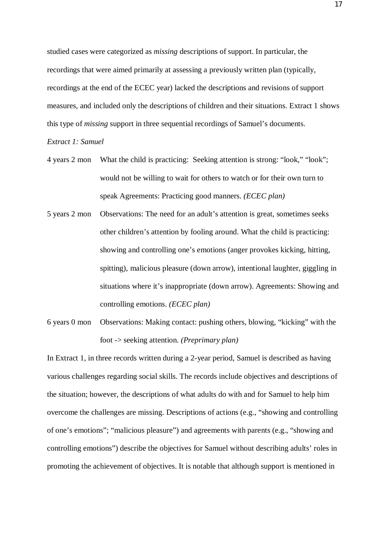studied cases were categorized as *missing* descriptions of support. In particular, the recordings that were aimed primarily at assessing a previously written plan (typically, recordings at the end of the ECEC year) lacked the descriptions and revisions of support measures, and included only the descriptions of children and their situations. Extract 1 shows this type of *missing* support in three sequential recordings of Samuel's documents.

*Extract 1: Samuel*

- 4 years 2 mon What the child is practicing: Seeking attention is strong: "look," "look"; would not be willing to wait for others to watch or for their own turn to speak Agreements: Practicing good manners. *(ECEC plan)*
- 5 years 2 mon Observations: The need for an adult's attention is great, sometimes seeks other children's attention by fooling around. What the child is practicing: showing and controlling one's emotions (anger provokes kicking, hitting, spitting), malicious pleasure (down arrow), intentional laughter, giggling in situations where it's inappropriate (down arrow). Agreements: Showing and controlling emotions. *(ECEC plan)*
- 6 years 0 mon Observations: Making contact: pushing others, blowing, "kicking" with the foot -> seeking attention. *(Preprimary plan)*

In Extract 1, in three records written during a 2-year period, Samuel is described as having various challenges regarding social skills. The records include objectives and descriptions of the situation; however, the descriptions of what adults do with and for Samuel to help him overcome the challenges are missing. Descriptions of actions (e.g., "showing and controlling of one's emotions"; "malicious pleasure") and agreements with parents (e.g., "showing and controlling emotions") describe the objectives for Samuel without describing adults' roles in promoting the achievement of objectives. It is notable that although support is mentioned in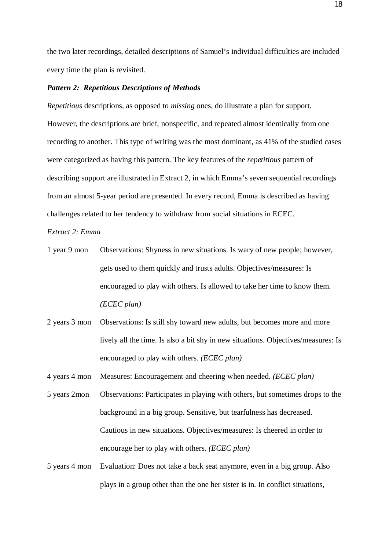the two later recordings, detailed descriptions of Samuel's individual difficulties are included every time the plan is revisited.

## *Pattern 2: Repetitious Descriptions of Methods*

*Repetitious* descriptions, as opposed to *missing* ones, do illustrate a plan for support. However, the descriptions are brief, nonspecific, and repeated almost identically from one recording to another. This type of writing was the most dominant, as 41% of the studied cases were categorized as having this pattern. The key features of the *repetitious* pattern of describing support are illustrated in Extract 2, in which Emma's seven sequential recordings from an almost 5-year period are presented. In every record, Emma is described as having challenges related to her tendency to withdraw from social situations in ECEC.

*Extract 2: Emma*

- 1 year 9 mon Observations: Shyness in new situations. Is wary of new people; however, gets used to them quickly and trusts adults. Objectives/measures: Is encouraged to play with others. Is allowed to take her time to know them. *(ECEC plan)*
- 2 years 3 mon Observations: Is still shy toward new adults, but becomes more and more lively all the time. Is also a bit shy in new situations. Objectives/measures: Is encouraged to play with others. *(ECEC plan)*

4 years 4 mon Measures: Encouragement and cheering when needed. *(ECEC plan)*

- 5 years 2mon Observations: Participates in playing with others, but sometimes drops to the background in a big group. Sensitive, but tearfulness has decreased. Cautious in new situations. Objectives/measures: Is cheered in order to encourage her to play with others. *(ECEC plan)*
- 5 years 4 mon Evaluation: Does not take a back seat anymore, even in a big group. Also plays in a group other than the one her sister is in. In conflict situations,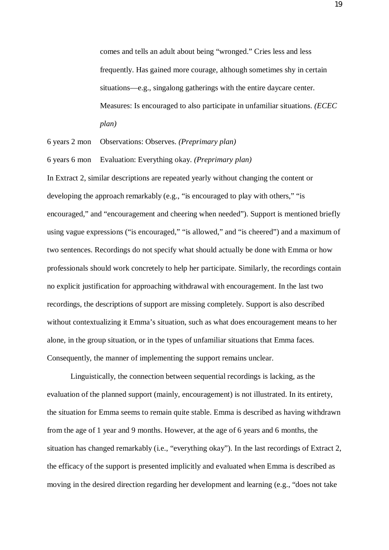comes and tells an adult about being "wronged." Cries less and less frequently. Has gained more courage, although sometimes shy in certain situations—e.g., singalong gatherings with the entire daycare center. Measures: Is encouraged to also participate in unfamiliar situations. *(ECEC plan)*

6 years 2 mon Observations: Observes. *(Preprimary plan)*

6 years 6 mon Evaluation: Everything okay. *(Preprimary plan)*

In Extract 2, similar descriptions are repeated yearly without changing the content or developing the approach remarkably (e.g., "is encouraged to play with others," "is encouraged," and "encouragement and cheering when needed"). Support is mentioned briefly using vague expressions ("is encouraged," "is allowed," and "is cheered") and a maximum of two sentences. Recordings do not specify what should actually be done with Emma or how professionals should work concretely to help her participate. Similarly, the recordings contain no explicit justification for approaching withdrawal with encouragement. In the last two recordings, the descriptions of support are missing completely. Support is also described without contextualizing it Emma's situation, such as what does encouragement means to her alone, in the group situation, or in the types of unfamiliar situations that Emma faces. Consequently, the manner of implementing the support remains unclear.

Linguistically, the connection between sequential recordings is lacking, as the evaluation of the planned support (mainly, encouragement) is not illustrated. In its entirety, the situation for Emma seems to remain quite stable. Emma is described as having withdrawn from the age of 1 year and 9 months. However, at the age of 6 years and 6 months, the situation has changed remarkably (i.e., "everything okay"). In the last recordings of Extract 2, the efficacy of the support is presented implicitly and evaluated when Emma is described as moving in the desired direction regarding her development and learning (e.g., "does not take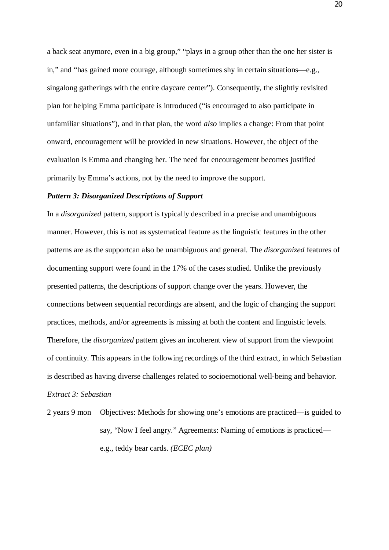a back seat anymore, even in a big group," "plays in a group other than the one her sister is in," and "has gained more courage, although sometimes shy in certain situations—e.g., singalong gatherings with the entire daycare center"). Consequently, the slightly revisited plan for helping Emma participate is introduced ("is encouraged to also participate in unfamiliar situations"), and in that plan, the word *also* implies a change: From that point onward, encouragement will be provided in new situations*.* However, the object of the evaluation is Emma and changing her. The need for encouragement becomes justified primarily by Emma's actions, not by the need to improve the support.

## *Pattern 3: Disorganized Descriptions of Support*

In a *disorganized* pattern, support is typically described in a precise and unambiguous manner. However, this is not as systematical feature as the linguistic features in the other patterns are as the supportcan also be unambiguous and general. The *disorganized* features of documenting support were found in the 17% of the cases studied. Unlike the previously presented patterns, the descriptions of support change over the years. However, the connections between sequential recordings are absent, and the logic of changing the support practices, methods, and/or agreements is missing at both the content and linguistic levels. Therefore, the *disorganized* pattern gives an incoherent view of support from the viewpoint of continuity. This appears in the following recordings of the third extract, in which Sebastian is described as having diverse challenges related to socioemotional well-being and behavior. *Extract 3: Sebastian*

2 years 9 mon Objectives: Methods for showing one's emotions are practiced—is guided to say, "Now I feel angry." Agreements: Naming of emotions is practiced e.g., teddy bear cards. *(ECEC plan)*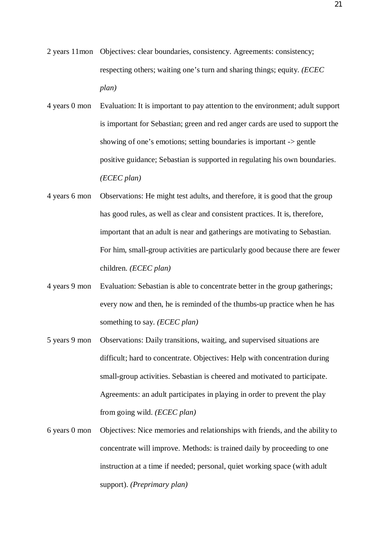- 2 years 11mon Objectives: clear boundaries, consistency. Agreements: consistency; respecting others; waiting one's turn and sharing things; equity. *(ECEC plan)*
- 4 years 0 mon Evaluation: It is important to pay attention to the environment; adult support is important for Sebastian; green and red anger cards are used to support the showing of one's emotions; setting boundaries is important -> gentle positive guidance; Sebastian is supported in regulating his own boundaries. *(ECEC plan)*
- 4 years 6 mon Observations: He might test adults, and therefore, it is good that the group has good rules, as well as clear and consistent practices. It is, therefore, important that an adult is near and gatherings are motivating to Sebastian. For him, small-group activities are particularly good because there are fewer children. *(ECEC plan)*
- 4 years 9 mon Evaluation: Sebastian is able to concentrate better in the group gatherings; every now and then, he is reminded of the thumbs-up practice when he has something to say. *(ECEC plan)*
- 5 years 9 mon Observations: Daily transitions, waiting, and supervised situations are difficult; hard to concentrate. Objectives: Help with concentration during small-group activities. Sebastian is cheered and motivated to participate. Agreements: an adult participates in playing in order to prevent the play from going wild. *(ECEC plan)*
- 6 years 0 mon Objectives: Nice memories and relationships with friends, and the ability to concentrate will improve. Methods: is trained daily by proceeding to one instruction at a time if needed; personal, quiet working space (with adult support). *(Preprimary plan)*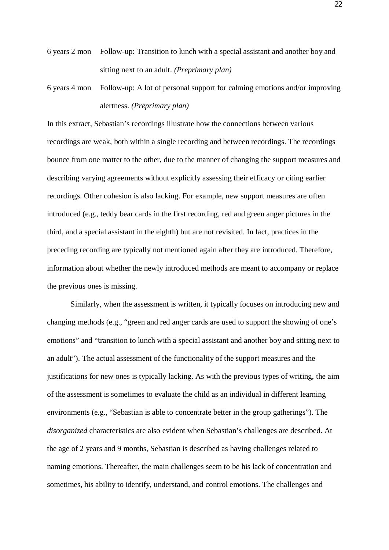- 6 years 2 mon Follow-up: Transition to lunch with a special assistant and another boy and sitting next to an adult. *(Preprimary plan)*
- 6 years 4 mon Follow-up: A lot of personal support for calming emotions and/or improving alertness. *(Preprimary plan)*

In this extract, Sebastian's recordings illustrate how the connections between various recordings are weak, both within a single recording and between recordings. The recordings bounce from one matter to the other, due to the manner of changing the support measures and describing varying agreements without explicitly assessing their efficacy or citing earlier recordings. Other cohesion is also lacking. For example, new support measures are often introduced (e.g., teddy bear cards in the first recording, red and green anger pictures in the third, and a special assistant in the eighth) but are not revisited. In fact, practices in the preceding recording are typically not mentioned again after they are introduced. Therefore, information about whether the newly introduced methods are meant to accompany or replace the previous ones is missing.

Similarly, when the assessment is written, it typically focuses on introducing new and changing methods (e.g., "green and red anger cards are used to support the showing of one's emotions" and "transition to lunch with a special assistant and another boy and sitting next to an adult"). The actual assessment of the functionality of the support measures and the justifications for new ones is typically lacking. As with the previous types of writing, the aim of the assessment is sometimes to evaluate the child as an individual in different learning environments (e.g., "Sebastian is able to concentrate better in the group gatherings"). The *disorganized* characteristics are also evident when Sebastian's challenges are described. At the age of 2 years and 9 months, Sebastian is described as having challenges related to naming emotions. Thereafter, the main challenges seem to be his lack of concentration and sometimes, his ability to identify, understand, and control emotions. The challenges and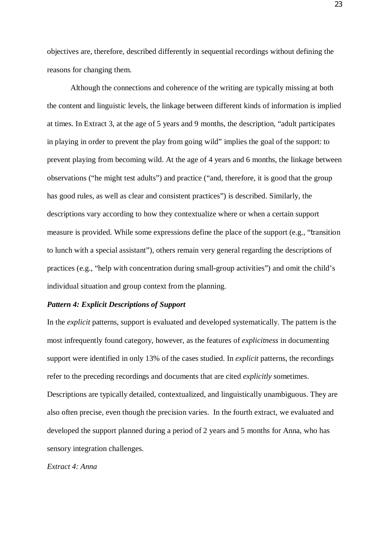objectives are, therefore, described differently in sequential recordings without defining the reasons for changing them.

Although the connections and coherence of the writing are typically missing at both the content and linguistic levels, the linkage between different kinds of information is implied at times. In Extract 3, at the age of 5 years and 9 months, the description, "adult participates in playing in order to prevent the play from going wild" implies the goal of the support: to prevent playing from becoming wild. At the age of 4 years and 6 months, the linkage between observations ("he might test adults") and practice ("and, therefore, it is good that the group has good rules, as well as clear and consistent practices") is described. Similarly, the descriptions vary according to how they contextualize where or when a certain support measure is provided. While some expressions define the place of the support (e.g., "transition to lunch with a special assistant"), others remain very general regarding the descriptions of practices (e.g., "help with concentration during small-group activities") and omit the child's individual situation and group context from the planning.

## *Pattern 4: Explicit Descriptions of Support*

In the *explicit* patterns, support is evaluated and developed systematically. The pattern is the most infrequently found category, however, as the features of *explicitness* in documenting support were identified in only 13% of the cases studied. In *explicit* patterns, the recordings refer to the preceding recordings and documents that are cited *explicitly* sometimes. Descriptions are typically detailed, contextualized, and linguistically unambiguous. They are also often precise, even though the precision varies. In the fourth extract, we evaluated and developed the support planned during a period of 2 years and 5 months for Anna, who has sensory integration challenges.

#### *Extract 4: Anna*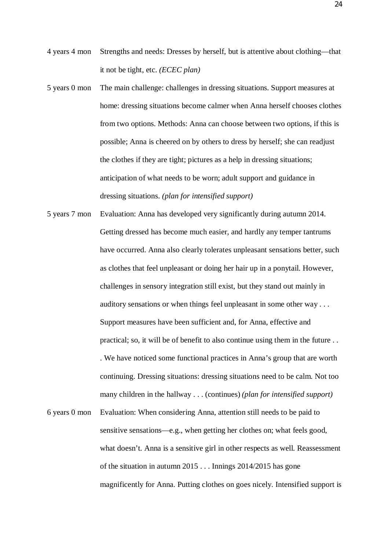- 4 years 4 mon Strengths and needs: Dresses by herself, but is attentive about clothing—that it not be tight, etc. *(ECEC plan)*
- 5 years 0 mon The main challenge: challenges in dressing situations. Support measures at home: dressing situations become calmer when Anna herself chooses clothes from two options. Methods: Anna can choose between two options, if this is possible; Anna is cheered on by others to dress by herself; she can readjust the clothes if they are tight; pictures as a help in dressing situations; anticipation of what needs to be worn; adult support and guidance in dressing situations. *(plan for intensified support)*
- 5 years 7 mon Evaluation: Anna has developed very significantly during autumn 2014. Getting dressed has become much easier, and hardly any temper tantrums have occurred. Anna also clearly tolerates unpleasant sensations better, such as clothes that feel unpleasant or doing her hair up in a ponytail. However, challenges in sensory integration still exist, but they stand out mainly in auditory sensations or when things feel unpleasant in some other way . . . Support measures have been sufficient and, for Anna, effective and practical; so, it will be of benefit to also continue using them in the future . . . We have noticed some functional practices in Anna's group that are worth continuing. Dressing situations: dressing situations need to be calm. Not too many children in the hallway . . . (continues) *(plan for intensified support)*
- 6 years 0 mon Evaluation: When considering Anna, attention still needs to be paid to sensitive sensations—e.g., when getting her clothes on; what feels good, what doesn't. Anna is a sensitive girl in other respects as well. Reassessment of the situation in autumn 2015 . . . Innings 2014/2015 has gone magnificently for Anna. Putting clothes on goes nicely. Intensified support is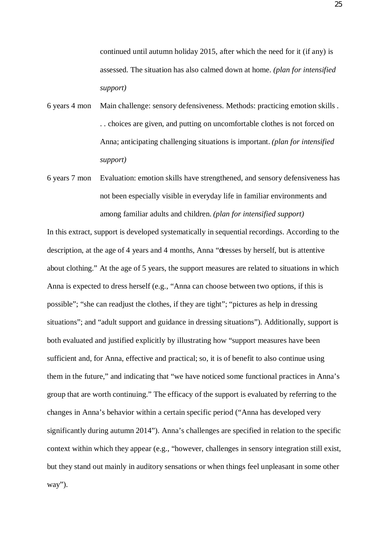continued until autumn holiday 2015, after which the need for it (if any) is assessed. The situation has also calmed down at home. *(plan for intensified support)*

- 6 years 4 mon Main challenge: sensory defensiveness. Methods: practicing emotion skills . . . choices are given, and putting on uncomfortable clothes is not forced on Anna; anticipating challenging situations is important. *(plan for intensified support)*
- 6 years 7 mon Evaluation: emotion skills have strengthened, and sensory defensiveness has not been especially visible in everyday life in familiar environments and among familiar adults and children. *(plan for intensified support)*

In this extract, support is developed systematically in sequential recordings. According to the description, at the age of 4 years and 4 months, Anna "dresses by herself, but is attentive about clothing." At the age of 5 years, the support measures are related to situations in which Anna is expected to dress herself (e.g., "Anna can choose between two options, if this is possible"; "she can readjust the clothes, if they are tight"; "pictures as help in dressing situations"; and "adult support and guidance in dressing situations"). Additionally, support is both evaluated and justified explicitly by illustrating how "support measures have been sufficient and, for Anna, effective and practical; so, it is of benefit to also continue using them in the future," and indicating that "we have noticed some functional practices in Anna's group that are worth continuing." The efficacy of the support is evaluated by referring to the changes in Anna's behavior within a certain specific period ("Anna has developed very significantly during autumn 2014"). Anna's challenges are specified in relation to the specific context within which they appear (e.g., "however, challenges in sensory integration still exist, but they stand out mainly in auditory sensations or when things feel unpleasant in some other way").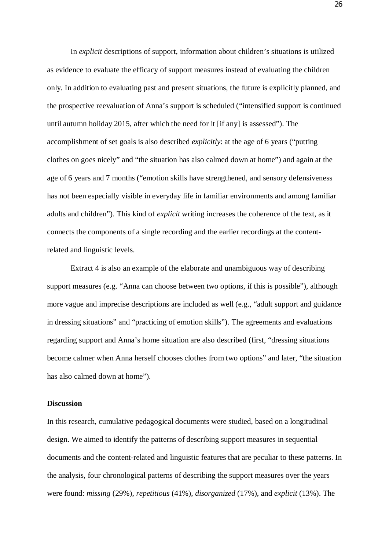In *explicit* descriptions of support, information about children's situations is utilized as evidence to evaluate the efficacy of support measures instead of evaluating the children only. In addition to evaluating past and present situations, the future is explicitly planned, and the prospective reevaluation of Anna's support is scheduled ("intensified support is continued until autumn holiday 2015, after which the need for it [if any] is assessed"). The accomplishment of set goals is also described *explicitly*: at the age of 6 years ("putting clothes on goes nicely" and "the situation has also calmed down at home") and again at the age of 6 years and 7 months ("emotion skills have strengthened, and sensory defensiveness has not been especially visible in everyday life in familiar environments and among familiar adults and children"). This kind of *explicit* writing increases the coherence of the text, as it connects the components of a single recording and the earlier recordings at the contentrelated and linguistic levels.

Extract 4 is also an example of the elaborate and unambiguous way of describing support measures (e.g. "Anna can choose between two options, if this is possible"), although more vague and imprecise descriptions are included as well (e.g., "adult support and guidance in dressing situations" and "practicing of emotion skills"). The agreements and evaluations regarding support and Anna's home situation are also described (first, "dressing situations become calmer when Anna herself chooses clothes from two options" and later, "the situation has also calmed down at home").

#### **Discussion**

In this research, cumulative pedagogical documents were studied, based on a longitudinal design. We aimed to identify the patterns of describing support measures in sequential documents and the content-related and linguistic features that are peculiar to these patterns. In the analysis, four chronological patterns of describing the support measures over the years were found: *missing* (29%), *repetitious* (41%), *disorganized* (17%), and *explicit* (13%). The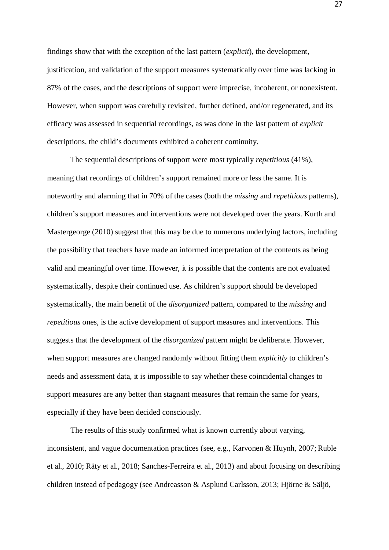findings show that with the exception of the last pattern (*explicit*), the development, justification, and validation of the support measures systematically over time was lacking in 87% of the cases, and the descriptions of support were imprecise, incoherent, or nonexistent. However, when support was carefully revisited, further defined, and/or regenerated, and its efficacy was assessed in sequential recordings, as was done in the last pattern of *explicit* descriptions, the child's documents exhibited a coherent continuity.

The sequential descriptions of support were most typically *repetitious* (41%), meaning that recordings of children's support remained more or less the same. It is noteworthy and alarming that in 70% of the cases (both the *missing* and *repetitious* patterns), children's support measures and interventions were not developed over the years. Kurth and Mastergeorge (2010) suggest that this may be due to numerous underlying factors, including the possibility that teachers have made an informed interpretation of the contents as being valid and meaningful over time. However, it is possible that the contents are not evaluated systematically, despite their continued use. As children's support should be developed systematically, the main benefit of the *disorganized* pattern, compared to the *missing* and *repetitious* ones, is the active development of support measures and interventions. This suggests that the development of the *disorganized* pattern might be deliberate. However, when support measures are changed randomly without fitting them *explicitly* to children's needs and assessment data, it is impossible to say whether these coincidental changes to support measures are any better than stagnant measures that remain the same for years, especially if they have been decided consciously.

The results of this study confirmed what is known currently about varying, inconsistent, and vague documentation practices (see, e.g., Karvonen & Huynh, 2007; Ruble et al., 2010; Räty et al., 2018; Sanches-Ferreira et al., 2013) and about focusing on describing children instead of pedagogy (see Andreasson & Asplund Carlsson, 2013; Hjörne & Säljö,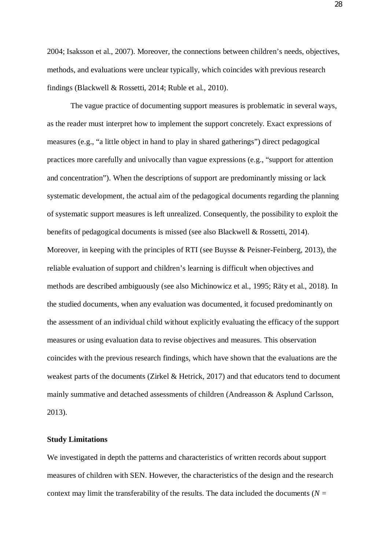2004; Isaksson et al., 2007). Moreover, the connections between children's needs, objectives, methods, and evaluations were unclear typically, which coincides with previous research findings (Blackwell & Rossetti, 2014; Ruble et al., 2010).

The vague practice of documenting support measures is problematic in several ways, as the reader must interpret how to implement the support concretely. Exact expressions of measures (e.g., "a little object in hand to play in shared gatherings") direct pedagogical practices more carefully and univocally than vague expressions (e.g., "support for attention and concentration"). When the descriptions of support are predominantly missing or lack systematic development, the actual aim of the pedagogical documents regarding the planning of systematic support measures is left unrealized. Consequently, the possibility to exploit the benefits of pedagogical documents is missed (see also Blackwell & Rossetti, 2014). Moreover, in keeping with the principles of RTI (see Buysse & Peisner-Feinberg, 2013), the reliable evaluation of support and children's learning is difficult when objectives and methods are described ambiguously (see also Michinowicz et al., 1995; Räty et al., 2018). In the studied documents, when any evaluation was documented, it focused predominantly on the assessment of an individual child without explicitly evaluating the efficacy of the support measures or using evaluation data to revise objectives and measures. This observation coincides with the previous research findings, which have shown that the evaluations are the weakest parts of the documents (Zirkel & Hetrick, 2017) and that educators tend to document mainly summative and detached assessments of children (Andreasson & Asplund Carlsson, 2013).

#### **Study Limitations**

We investigated in depth the patterns and characteristics of written records about support measures of children with SEN. However, the characteristics of the design and the research context may limit the transferability of the results. The data included the documents (*N =*

28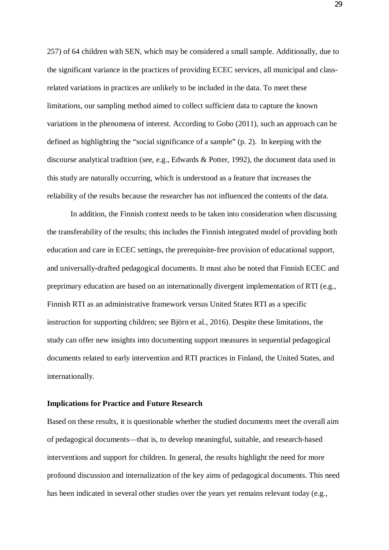257) of 64 children with SEN, which may be considered a small sample. Additionally, due to the significant variance in the practices of providing ECEC services, all municipal and classrelated variations in practices are unlikely to be included in the data. To meet these limitations, our sampling method aimed to collect sufficient data to capture the known variations in the phenomena of interest. According to Gobo (2011), such an approach can be defined as highlighting the "social significance of a sample" (p. 2). In keeping with the discourse analytical tradition (see, e.g., Edwards & Potter, 1992), the document data used in this study are naturally occurring, which is understood as a feature that increases the reliability of the results because the researcher has not influenced the contents of the data.

In addition, the Finnish context needs to be taken into consideration when discussing the transferability of the results; this includes the Finnish integrated model of providing both education and care in ECEC settings, the prerequisite-free provision of educational support, and universally-drafted pedagogical documents. It must also be noted that Finnish ECEC and preprimary education are based on an internationally divergent implementation of RTI (e.g., Finnish RTI as an administrative framework versus United States RTI as a specific instruction for supporting children; see Björn et al., 2016). Despite these limitations, the study can offer new insights into documenting support measures in sequential pedagogical documents related to early intervention and RTI practices in Finland, the United States, and internationally.

#### **Implications for Practice and Future Research**

Based on these results, it is questionable whether the studied documents meet the overall aim of pedagogical documents—that is, to develop meaningful, suitable, and research-based interventions and support for children. In general, the results highlight the need for more profound discussion and internalization of the key aims of pedagogical documents. This need has been indicated in several other studies over the years yet remains relevant today (e.g.,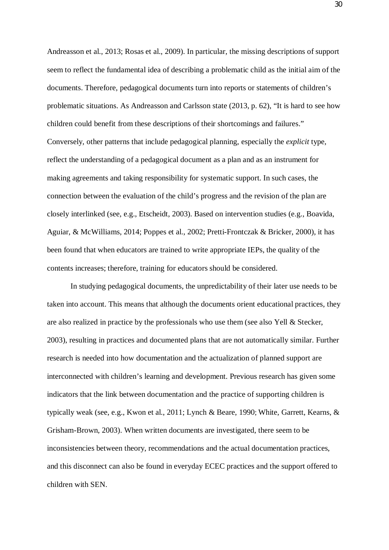Andreasson et al., 2013; Rosas et al., 2009). In particular, the missing descriptions of support seem to reflect the fundamental idea of describing a problematic child as the initial aim of the documents. Therefore, pedagogical documents turn into reports or statements of children's problematic situations. As Andreasson and Carlsson state (2013, p. 62), "It is hard to see how children could benefit from these descriptions of their shortcomings and failures." Conversely, other patterns that include pedagogical planning, especially the *explicit* type, reflect the understanding of a pedagogical document as a plan and as an instrument for making agreements and taking responsibility for systematic support. In such cases, the connection between the evaluation of the child's progress and the revision of the plan are closely interlinked (see, e.g., Etscheidt, 2003). Based on intervention studies (e.g., Boavida, Aguiar, & McWilliams, 2014; Poppes et al., 2002; Pretti-Frontczak & Bricker, 2000), it has been found that when educators are trained to write appropriate IEPs, the quality of the contents increases; therefore, training for educators should be considered.

In studying pedagogical documents, the unpredictability of their later use needs to be taken into account. This means that although the documents orient educational practices, they are also realized in practice by the professionals who use them (see also Yell & Stecker, 2003), resulting in practices and documented plans that are not automatically similar. Further research is needed into how documentation and the actualization of planned support are interconnected with children's learning and development. Previous research has given some indicators that the link between documentation and the practice of supporting children is typically weak (see, e.g., Kwon et al., 2011; Lynch & Beare, 1990; White, Garrett, Kearns, & Grisham-Brown, 2003). When written documents are investigated, there seem to be inconsistencies between theory, recommendations and the actual documentation practices, and this disconnect can also be found in everyday ECEC practices and the support offered to children with SEN.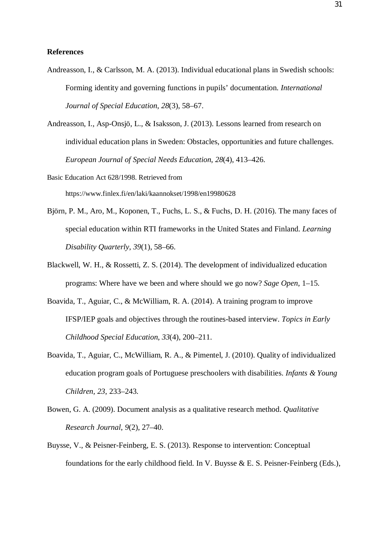#### **References**

Andreasson, I., & Carlsson, M. A. (2013). Individual educational plans in Swedish schools: Forming identity and governing functions in pupils' documentation. *International Journal of Special Education*, *28*(3), 58–67.

Andreasson, I., Asp-Onsjö, L., & Isaksson, J. (2013). Lessons learned from research on individual education plans in Sweden: Obstacles, opportunities and future challenges. *European Journal of Special Needs Education*, *28*(4), 413–426.

Basic Education Act 628/1998. Retrieved from https://www.finlex.fi/en/laki/kaannokset/1998/en19980628

- Björn, P. M., Aro, M., Koponen, T., Fuchs, L. S., & Fuchs, D. H. (2016). The many faces of special education within RTI frameworks in the United States and Finland. *Learning Disability Quarterly*, *39*(1), 58–66.
- Blackwell, W. H., & Rossetti, Z. S. (2014). The development of individualized education programs: Where have we been and where should we go now? *Sage Open*, 1–15.
- Boavida, T., Aguiar, C., & McWilliam, R. A. (2014). A training program to improve IFSP/IEP goals and objectives through the routines-based interview. *Topics in Early Childhood Special Education*, *33*(4), 200–211.
- Boavida, T., Aguiar, C., McWilliam, R. A., & Pimentel, J. (2010). Quality of individualized education program goals of Portuguese preschoolers with disabilities. *Infants & Young Children, 23*, 233–243.
- Bowen, G. A. (2009). Document analysis as a qualitative research method. *Qualitative Research Journal*, *9*(2), 27–40.
- Buysse, V., & Peisner-Feinberg, E. S. (2013). Response to intervention: Conceptual foundations for the early childhood field. In V. Buysse & E. S. Peisner-Feinberg (Eds.),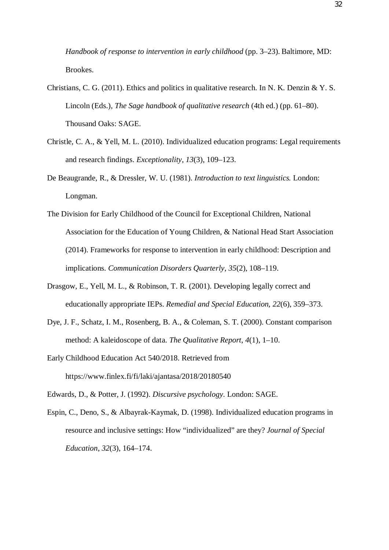*Handbook of response to intervention in early childhood* (pp. 3–23). Baltimore, MD: Brookes.

- Christians, C. G. (2011). Ethics and politics in qualitative research. In N. K. Denzin & Y. S. Lincoln (Eds.), *The Sage handbook of qualitative research* (4th ed.) (pp. 61–80). Thousand Oaks: SAGE.
- Christle, C. A., & Yell, M. L. (2010). Individualized education programs: Legal requirements and research findings. *Exceptionality*, *13*(3), 109–123.
- De Beaugrande, R., & Dressler, W. U. (1981). *Introduction to text linguistics.* London: Longman.
- The Division for Early Childhood of the Council for Exceptional Children, National Association for the Education of Young Children, & National Head Start Association (2014). Frameworks for response to intervention in early childhood: Description and implications. *Communication Disorders Quarterly*, *35*(2), 108–119.
- Drasgow, E., Yell, M. L., & Robinson, T. R. (2001). Developing legally correct and educationally appropriate IEPs. *Remedial and Special Education*, *22*(6), 359–373.
- Dye, J. F., Schatz, I. M., Rosenberg, B. A., & Coleman, S. T. (2000). Constant comparison method: A kaleidoscope of data. *The Qualitative Report*, *4*(1), 1–10.
- Early Childhood Education Act 540/2018. Retrieved from https://www.finlex.fi/fi/laki/ajantasa/2018/20180540
- Edwards, D., & Potter, J. (1992). *Discursive psychology*. London: SAGE.
- Espin, C., Deno, S., & Albayrak-Kaymak, D. (1998). Individualized education programs in resource and inclusive settings: How "individualized" are they? *Journal of Special Education*, *32*(3), 164–174.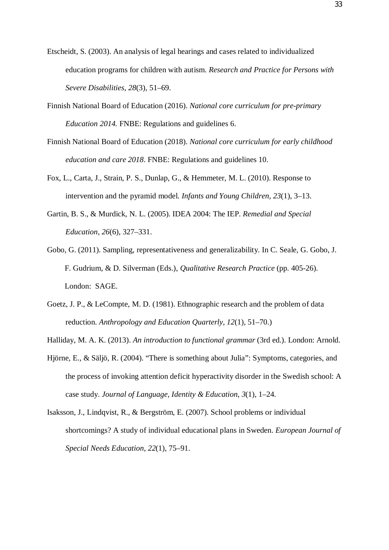- Etscheidt, S. (2003). An analysis of legal hearings and cases related to individualized education programs for children with autism. *Research and Practice for Persons with Severe Disabilities*, *28*(3), 51–69.
- Finnish National Board of Education (2016). *National core curriculum for pre-primary Education 2014.* FNBE: Regulations and guidelines 6.
- Finnish National Board of Education (2018). *National core curriculum for early childhood education and care 2018*. FNBE: Regulations and guidelines 10.
- Fox, L., Carta, J., Strain, P. S., Dunlap, G., & Hemmeter, M. L. (2010). Response to intervention and the pyramid model. *Infants and Young Children, 23*(1), 3–13.
- Gartin, B. S., & Murdick, N. L. (2005). IDEA 2004: The IEP. *Remedial and Special Education*, *26*(6), 327–331.
- Gobo, G. (2011). Sampling, representativeness and generalizability. In C. Seale, G. Gobo, J. F. Gudrium, & D. Silverman (Eds.), *Qualitative Research Practice* (pp. 405-26). London: SAGE.
- Goetz, J. P., & LeCompte, M. D. (1981). Ethnographic research and the problem of data reduction. *Anthropology and Education Quarterly*, *12*(1), 51–70.)
- Halliday, M. A. K. (2013). *An introduction to functional grammar* (3rd ed.). London: Arnold.
- Hjörne, E., & Säljö, R. (2004). "There is something about Julia": Symptoms, categories, and the process of invoking attention deficit hyperactivity disorder in the Swedish school: A case study. *Journal of Language, Identity & Education*, *3*(1), 1–24.
- Isaksson, J., Lindqvist, R., & Bergström, E. (2007). School problems or individual shortcomings? A study of individual educational plans in Sweden. *European Journal of Special Needs Education*, *22*(1), 75–91.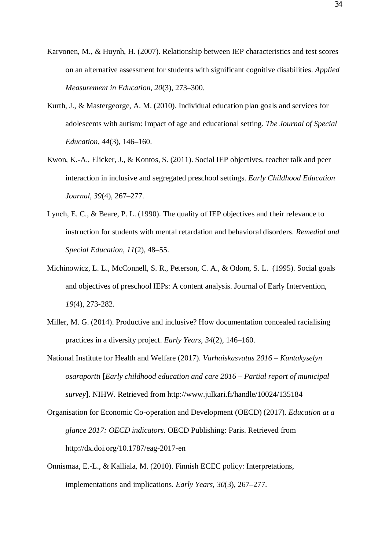- Karvonen, M., & Huynh, H. (2007). Relationship between IEP characteristics and test scores on an alternative assessment for students with significant cognitive disabilities. *Applied Measurement in Education*, *20*(3), 273–300.
- Kurth, J., & Mastergeorge, A. M. (2010). Individual education plan goals and services for adolescents with autism: Impact of age and educational setting. *The Journal of Special Education*, *44*(3), 146–160.
- Kwon, K.-A., Elicker, J., & Kontos, S. (2011). Social IEP objectives, teacher talk and peer interaction in inclusive and segregated preschool settings. *Early Childhood Education Journal*, *39*(4), 267–277.
- Lynch, E. C., & Beare, P. L. (1990). The quality of IEP objectives and their relevance to instruction for students with mental retardation and behavioral disorders. *Remedial and Special Education*, *11*(2), 48–55.
- Michinowicz, L. L., McConnell, S. R., Peterson, C. A., & Odom, S. L. (1995). Social goals and objectives of preschool IEPs: A content analysis. Journal of Early Intervention, *19*(4), 273-282.
- Miller, M. G. (2014). Productive and inclusive? How documentation concealed racialising practices in a diversity project. *Early Years*, *34*(2), 146–160.
- National Institute for Health and Welfare (2017). *Varhaiskasvatus 2016 Kuntakyselyn osaraportti* [*Early childhood education and care 2016 – Partial report of municipal survey*]. NIHW. Retrieved from <http://www.julkari.fi/handle/10024/135184>
- Organisation for Economic Co-operation and Development (OECD) (2017). *Education at a glance 2017: OECD indicators.* OECD Publishing: Paris. Retrieved from <http://dx.doi.org/10.1787/eag-2017-en>
- Onnismaa, E.-L., & Kalliala, M. (2010). Finnish ECEC policy: Interpretations, implementations and implications. *Early Years*, *30*(3), 267–277.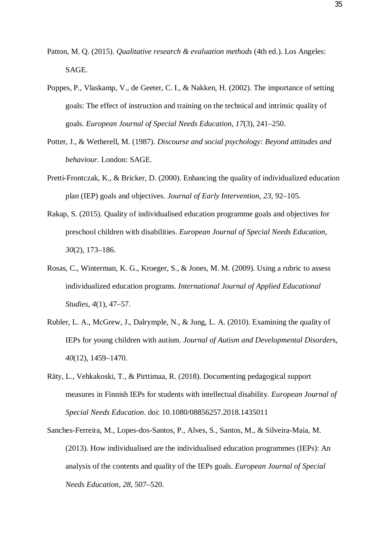- Patton, M. Q. (2015). *Qualitative research & evaluation methods* (4th ed.). Los Angeles: SAGE.
- Poppes, P., Vlaskamp, V., de Geeter, C. I., & Nakken, H. (2002). The importance of setting goals: The effect of instruction and training on the technical and intrinsic quality of goals. *European Journal of Special Needs Education*, *17*(3), 241–250.
- Potter, J., & Wetherell, M. (1987). *Discourse and social psychology: Beyond attitudes and behaviour*. London: SAGE.
- Pretti-Frontczak, K., & Bricker, D. (2000). Enhancing the quality of individualized education plan (IEP) goals and objectives. *Journal of Early Intervention*, *23*, 92–105.
- Rakap, S. (2015). Quality of individualised education programme goals and objectives for preschool children with disabilities. *European Journal of Special Needs Education*, *30*(2), 173–186.
- Rosas, C., Winterman, K. G., Kroeger, S., & Jones, M. M. (2009). Using a rubric to assess individualized education programs. *International Journal of Applied Educational Studies*, *4*(1), 47–57.
- Rubler, L. A., McGrew, J., Dalrymple, N., & Jung, L. A. (2010). Examining the quality of IEPs for young children with autism. *Journal of Autism and Developmental Disorder*s, *40*(12), 1459–1470.
- Räty, L., Vehkakoski, T., & Pirttimaa, R. (2018). Documenting pedagogical support measures in Finnish IEPs for students with intellectual disability. *European Journal of Special Needs Education*. doi: 10.1080/08856257.2018.1435011
- Sanches-Ferreira, M., Lopes-dos-Santos, P., Alves, S., Santos, M., & Silveira-Maia, M. (2013). How individualised are the individualised education programmes (IEPs): An analysis of the contents and quality of the IEPs goals. *European Journal of Special Needs Education*, *28*, 507–520.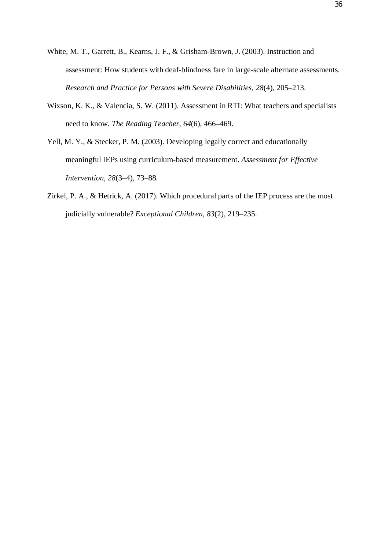- White, M. T., Garrett, B., Kearns, J. F., & Grisham-Brown, J. (2003). Instruction and assessment: How students with deaf-blindness fare in large-scale alternate assessments. *Research and Practice for Persons with Severe Disabilities*, *28*(4), 205–213.
- Wixson, K. K., & Valencia, S. W. (2011). Assessment in RTI: What teachers and specialists need to know. *The Reading Teacher*, *64*(6), 466–469.
- Yell, M. Y., & Stecker, P. M. (2003). Developing legally correct and educationally meaningful IEPs using curriculum-based measurement. *Assessment for Effective Intervention*, *28*(3–4), 73–88*.*
- Zirkel, P. A., & Hetrick, A. (2017). Which procedural parts of the IEP process are the most judicially vulnerable? *Exceptional Children*, *83*(2), 219–235.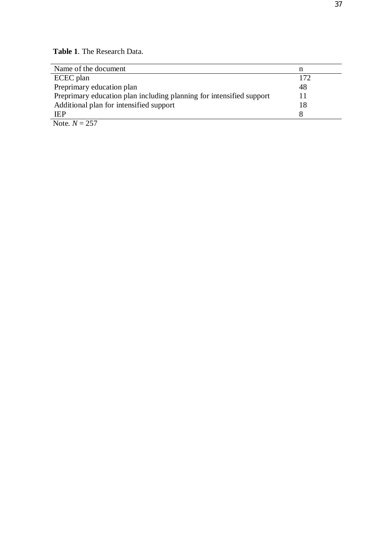**Table 1***.* The Research Data.

| Name of the document                                                 | n   |
|----------------------------------------------------------------------|-----|
| ECEC plan                                                            | 172 |
| Preprimary education plan                                            | 48  |
| Preprimary education plan including planning for intensified support |     |
| Additional plan for intensified support                              | 18  |
| <b>IEP</b>                                                           |     |
| $N_{\text{obs}}$ $N_{\text{C}}$                                      |     |

Note.  $N = 257$